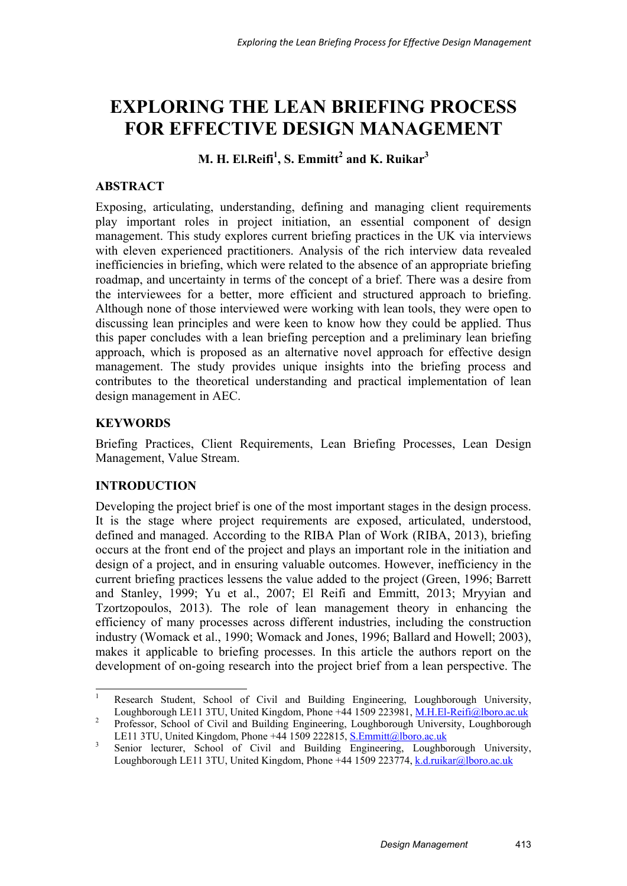# **EXPLORING THE LEAN BRIEFING PROCESS FOR EFFECTIVE DESIGN MANAGEMENT**

 $\mathbf{M}.$  **H. El.Reifi** $^1$ **, S. Emmitt** $^2$  **and K. Ruikar** $^3$ 

# **ABSTRACT**

Exposing, articulating, understanding, defining and managing client requirements play important roles in project initiation, an essential component of design management. This study explores current briefing practices in the UK via interviews with eleven experienced practitioners. Analysis of the rich interview data revealed inefficiencies in briefing, which were related to the absence of an appropriate briefing roadmap, and uncertainty in terms of the concept of a brief. There was a desire from the interviewees for a better, more efficient and structured approach to briefing. Although none of those interviewed were working with lean tools, they were open to discussing lean principles and were keen to know how they could be applied. Thus this paper concludes with a lean briefing perception and a preliminary lean briefing approach, which is proposed as an alternative novel approach for effective design management. The study provides unique insights into the briefing process and contributes to the theoretical understanding and practical implementation of lean design management in AEC.

# **KEYWORDS**

Briefing Practices, Client Requirements, Lean Briefing Processes, Lean Design Management, Value Stream.

# **INTRODUCTION**

Developing the project brief is one of the most important stages in the design process. It is the stage where project requirements are exposed, articulated, understood, defined and managed. According to the RIBA Plan of Work (RIBA, 2013), briefing occurs at the front end of the project and plays an important role in the initiation and design of a project, and in ensuring valuable outcomes. However, inefficiency in the current briefing practices lessens the value added to the project (Green, 1996; Barrett and Stanley, 1999; Yu et al., 2007; El Reifi and Emmitt, 2013; Mryyian and Tzortzopoulos, 2013). The role of lean management theory in enhancing the efficiency of many processes across different industries, including the construction industry (Womack et al., 1990; Womack and Jones, 1996; Ballard and Howell; 2003), makes it applicable to briefing processes. In this article the authors report on the development of on-going research into the project brief from a lean perspective. The

 $\frac{1}{1}$  Research Student, School of Civil and Building Engineering, Loughborough University, Loughborough LE11 3TU, United Kingdom, Phone +44 1509 223981, M.H.El-Reifi@lboro.ac.uk

Professor, School of Civil and Building Engineering, Loughborough University, Loughborough LE11 3TU, United Kingdom, Phone +44 1509 222815, S. Emmitt@lboro.ac.uk

Senior lecturer, School of Civil and Building Engineering, Loughborough University, Loughborough LE11 3TU, United Kingdom, Phone +44 1509 223774, k.d.ruikar@lboro.ac.uk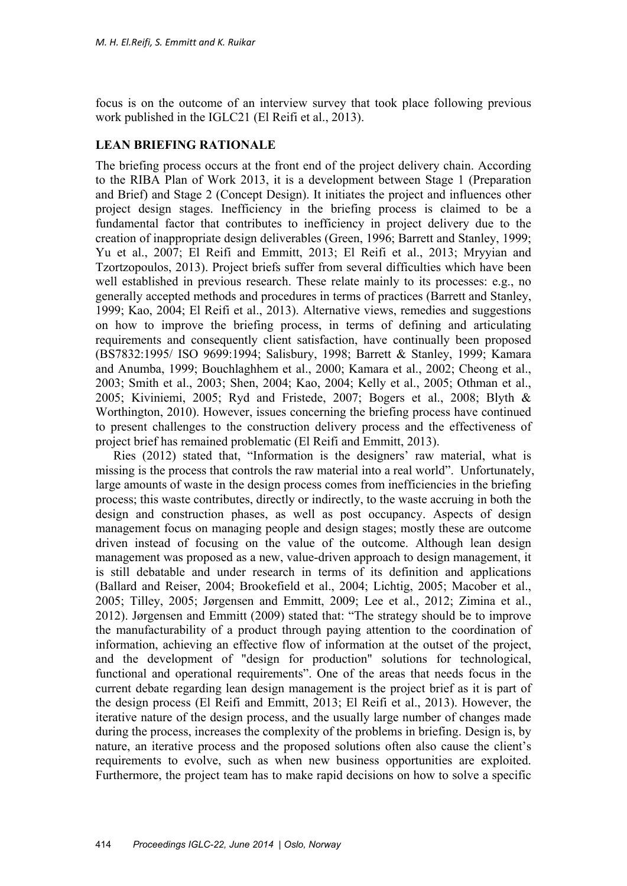focus is on the outcome of an interview survey that took place following previous work published in the IGLC21 (El Reifi et al., 2013).

#### **LEAN BRIEFING RATIONALE**

The briefing process occurs at the front end of the project delivery chain. According to the RIBA Plan of Work 2013, it is a development between Stage 1 (Preparation and Brief) and Stage 2 (Concept Design). It initiates the project and influences other project design stages. Inefficiency in the briefing process is claimed to be a fundamental factor that contributes to inefficiency in project delivery due to the creation of inappropriate design deliverables (Green, 1996; Barrett and Stanley, 1999; Yu et al., 2007; El Reifi and Emmitt, 2013; El Reifi et al., 2013; Mryyian and Tzortzopoulos, 2013). Project briefs suffer from several difficulties which have been well established in previous research. These relate mainly to its processes: e.g., no generally accepted methods and procedures in terms of practices (Barrett and Stanley, 1999; Kao, 2004; El Reifi et al., 2013). Alternative views, remedies and suggestions on how to improve the briefing process, in terms of defining and articulating requirements and consequently client satisfaction, have continually been proposed (BS7832:1995/ ISO 9699:1994; Salisbury, 1998; Barrett & Stanley, 1999; Kamara and Anumba, 1999; Bouchlaghhem et al., 2000; Kamara et al., 2002; Cheong et al., 2003; Smith et al., 2003; Shen, 2004; Kao, 2004; Kelly et al., 2005; Othman et al., 2005; Kiviniemi, 2005; Ryd and Fristede, 2007; Bogers et al., 2008; Blyth & Worthington, 2010). However, issues concerning the briefing process have continued to present challenges to the construction delivery process and the effectiveness of project brief has remained problematic (El Reifi and Emmitt, 2013).

Ries (2012) stated that, "Information is the designers' raw material, what is missing is the process that controls the raw material into a real world". Unfortunately, large amounts of waste in the design process comes from inefficiencies in the briefing process; this waste contributes, directly or indirectly, to the waste accruing in both the design and construction phases, as well as post occupancy. Aspects of design management focus on managing people and design stages; mostly these are outcome driven instead of focusing on the value of the outcome. Although lean design management was proposed as a new, value-driven approach to design management, it is still debatable and under research in terms of its definition and applications (Ballard and Reiser, 2004; Brookefield et al., 2004; Lichtig, 2005; Macober et al., 2005; Tilley, 2005; Jørgensen and Emmitt, 2009; Lee et al., 2012; Zimina et al., 2012). Jørgensen and Emmitt (2009) stated that: "The strategy should be to improve the manufacturability of a product through paying attention to the coordination of information, achieving an effective flow of information at the outset of the project, and the development of "design for production" solutions for technological, functional and operational requirements". One of the areas that needs focus in the current debate regarding lean design management is the project brief as it is part of the design process (El Reifi and Emmitt, 2013; El Reifi et al., 2013). However, the iterative nature of the design process, and the usually large number of changes made during the process, increases the complexity of the problems in briefing. Design is, by nature, an iterative process and the proposed solutions often also cause the client's requirements to evolve, such as when new business opportunities are exploited. Furthermore, the project team has to make rapid decisions on how to solve a specific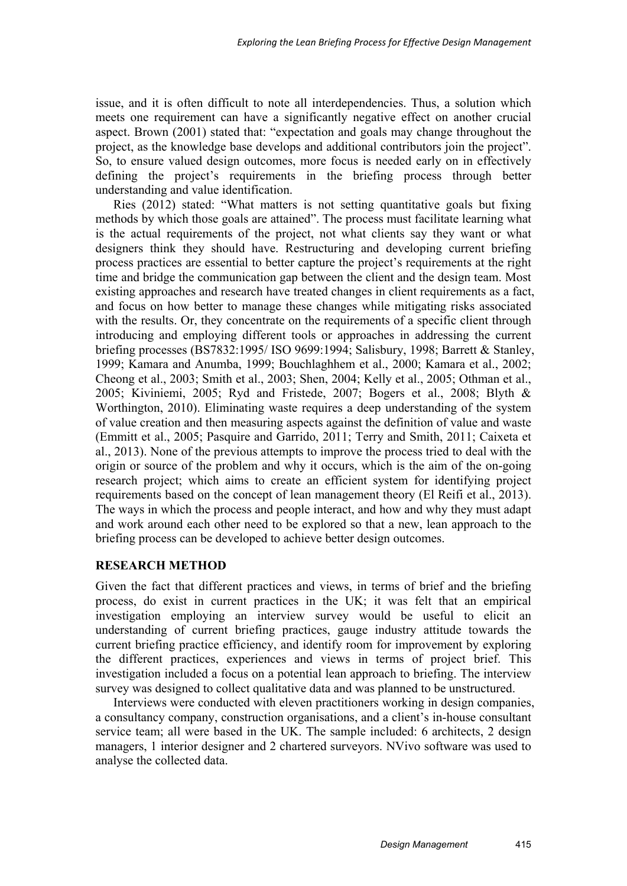issue, and it is often difficult to note all interdependencies. Thus, a solution which meets one requirement can have a significantly negative effect on another crucial aspect. Brown (2001) stated that: "expectation and goals may change throughout the project, as the knowledge base develops and additional contributors join the project". So, to ensure valued design outcomes, more focus is needed early on in effectively defining the project's requirements in the briefing process through better understanding and value identification.

Ries (2012) stated: "What matters is not setting quantitative goals but fixing methods by which those goals are attained". The process must facilitate learning what is the actual requirements of the project, not what clients say they want or what designers think they should have. Restructuring and developing current briefing process practices are essential to better capture the project's requirements at the right time and bridge the communication gap between the client and the design team. Most existing approaches and research have treated changes in client requirements as a fact, and focus on how better to manage these changes while mitigating risks associated with the results. Or, they concentrate on the requirements of a specific client through introducing and employing different tools or approaches in addressing the current briefing processes (BS7832:1995/ ISO 9699:1994; Salisbury, 1998; Barrett & Stanley, 1999; Kamara and Anumba, 1999; Bouchlaghhem et al., 2000; Kamara et al., 2002; Cheong et al., 2003; Smith et al., 2003; Shen, 2004; Kelly et al., 2005; Othman et al., 2005; Kiviniemi, 2005; Ryd and Fristede, 2007; Bogers et al., 2008; Blyth & Worthington, 2010). Eliminating waste requires a deep understanding of the system of value creation and then measuring aspects against the definition of value and waste (Emmitt et al., 2005; Pasquire and Garrido, 2011; Terry and Smith, 2011; Caixeta et al., 2013). None of the previous attempts to improve the process tried to deal with the origin or source of the problem and why it occurs, which is the aim of the on-going research project; which aims to create an efficient system for identifying project requirements based on the concept of lean management theory (El Reifi et al., 2013). The ways in which the process and people interact, and how and why they must adapt and work around each other need to be explored so that a new, lean approach to the briefing process can be developed to achieve better design outcomes.

# **RESEARCH METHOD**

Given the fact that different practices and views, in terms of brief and the briefing process, do exist in current practices in the UK; it was felt that an empirical investigation employing an interview survey would be useful to elicit an understanding of current briefing practices, gauge industry attitude towards the current briefing practice efficiency, and identify room for improvement by exploring the different practices, experiences and views in terms of project brief. This investigation included a focus on a potential lean approach to briefing. The interview survey was designed to collect qualitative data and was planned to be unstructured.

Interviews were conducted with eleven practitioners working in design companies, a consultancy company, construction organisations, and a client's in-house consultant service team; all were based in the UK. The sample included: 6 architects, 2 design managers, 1 interior designer and 2 chartered surveyors. NVivo software was used to analyse the collected data.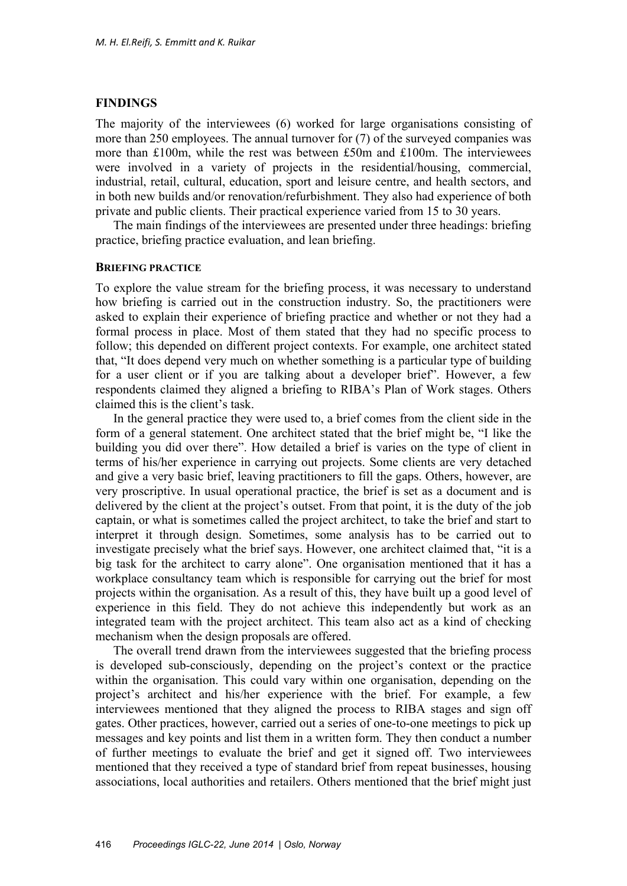## **FINDINGS**

The majority of the interviewees (6) worked for large organisations consisting of more than 250 employees. The annual turnover for (7) of the surveyed companies was more than £100m, while the rest was between £50m and £100m. The interviewees were involved in a variety of projects in the residential/housing, commercial, industrial, retail, cultural, education, sport and leisure centre, and health sectors, and in both new builds and/or renovation/refurbishment. They also had experience of both private and public clients. Their practical experience varied from 15 to 30 years.

The main findings of the interviewees are presented under three headings: briefing practice, briefing practice evaluation, and lean briefing.

#### **BRIEFING PRACTICE**

To explore the value stream for the briefing process, it was necessary to understand how briefing is carried out in the construction industry. So, the practitioners were asked to explain their experience of briefing practice and whether or not they had a formal process in place. Most of them stated that they had no specific process to follow; this depended on different project contexts. For example, one architect stated that, "It does depend very much on whether something is a particular type of building for a user client or if you are talking about a developer brief". However, a few respondents claimed they aligned a briefing to RIBA's Plan of Work stages. Others claimed this is the client's task.

In the general practice they were used to, a brief comes from the client side in the form of a general statement. One architect stated that the brief might be, "I like the building you did over there". How detailed a brief is varies on the type of client in terms of his/her experience in carrying out projects. Some clients are very detached and give a very basic brief, leaving practitioners to fill the gaps. Others, however, are very proscriptive. In usual operational practice, the brief is set as a document and is delivered by the client at the project's outset. From that point, it is the duty of the job captain, or what is sometimes called the project architect, to take the brief and start to interpret it through design. Sometimes, some analysis has to be carried out to investigate precisely what the brief says. However, one architect claimed that, "it is a big task for the architect to carry alone". One organisation mentioned that it has a workplace consultancy team which is responsible for carrying out the brief for most projects within the organisation. As a result of this, they have built up a good level of experience in this field. They do not achieve this independently but work as an integrated team with the project architect. This team also act as a kind of checking mechanism when the design proposals are offered.

The overall trend drawn from the interviewees suggested that the briefing process is developed sub-consciously, depending on the project's context or the practice within the organisation. This could vary within one organisation, depending on the project's architect and his/her experience with the brief. For example, a few interviewees mentioned that they aligned the process to RIBA stages and sign off gates. Other practices, however, carried out a series of one-to-one meetings to pick up messages and key points and list them in a written form. They then conduct a number of further meetings to evaluate the brief and get it signed off. Two interviewees mentioned that they received a type of standard brief from repeat businesses, housing associations, local authorities and retailers. Others mentioned that the brief might just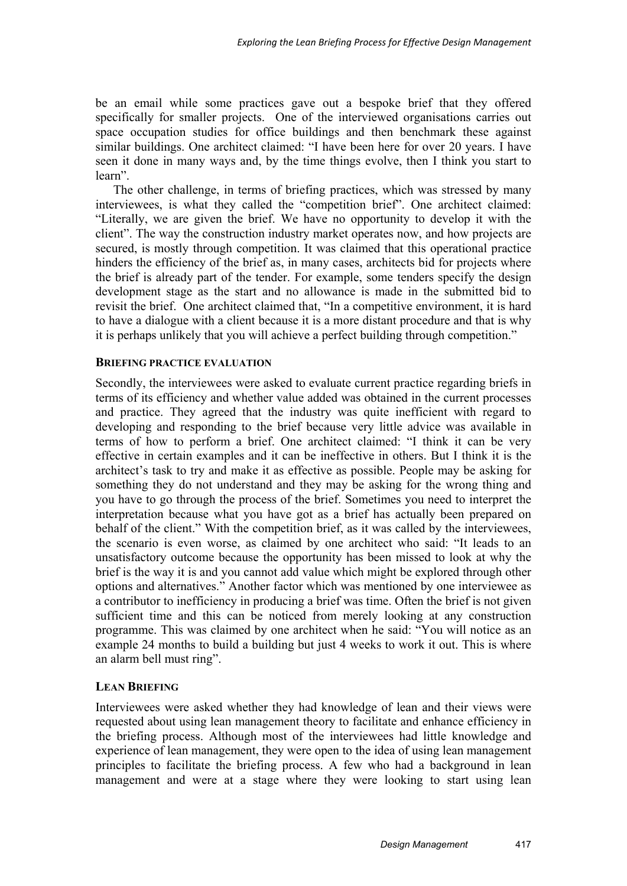be an email while some practices gave out a bespoke brief that they offered specifically for smaller projects. One of the interviewed organisations carries out space occupation studies for office buildings and then benchmark these against similar buildings. One architect claimed: "I have been here for over 20 years. I have seen it done in many ways and, by the time things evolve, then I think you start to learn".

The other challenge, in terms of briefing practices, which was stressed by many interviewees, is what they called the "competition brief". One architect claimed: "Literally, we are given the brief. We have no opportunity to develop it with the client". The way the construction industry market operates now, and how projects are secured, is mostly through competition. It was claimed that this operational practice hinders the efficiency of the brief as, in many cases, architects bid for projects where the brief is already part of the tender. For example, some tenders specify the design development stage as the start and no allowance is made in the submitted bid to revisit the brief. One architect claimed that, "In a competitive environment, it is hard to have a dialogue with a client because it is a more distant procedure and that is why it is perhaps unlikely that you will achieve a perfect building through competition."

#### **BRIEFING PRACTICE EVALUATION**

Secondly, the interviewees were asked to evaluate current practice regarding briefs in terms of its efficiency and whether value added was obtained in the current processes and practice. They agreed that the industry was quite inefficient with regard to developing and responding to the brief because very little advice was available in terms of how to perform a brief. One architect claimed: "I think it can be very effective in certain examples and it can be ineffective in others. But I think it is the architect's task to try and make it as effective as possible. People may be asking for something they do not understand and they may be asking for the wrong thing and you have to go through the process of the brief. Sometimes you need to interpret the interpretation because what you have got as a brief has actually been prepared on behalf of the client." With the competition brief, as it was called by the interviewees, the scenario is even worse, as claimed by one architect who said: "It leads to an unsatisfactory outcome because the opportunity has been missed to look at why the brief is the way it is and you cannot add value which might be explored through other options and alternatives." Another factor which was mentioned by one interviewee as a contributor to inefficiency in producing a brief was time. Often the brief is not given sufficient time and this can be noticed from merely looking at any construction programme. This was claimed by one architect when he said: "You will notice as an example 24 months to build a building but just 4 weeks to work it out. This is where an alarm bell must ring".

### **LEAN BRIEFING**

Interviewees were asked whether they had knowledge of lean and their views were requested about using lean management theory to facilitate and enhance efficiency in the briefing process. Although most of the interviewees had little knowledge and experience of lean management, they were open to the idea of using lean management principles to facilitate the briefing process. A few who had a background in lean management and were at a stage where they were looking to start using lean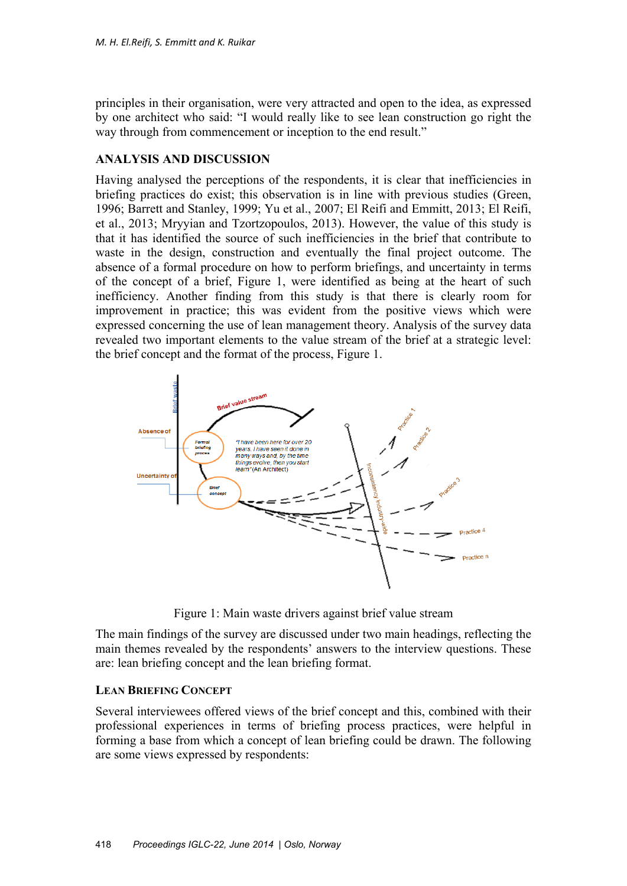principles in their organisation, were very attracted and open to the idea, as expressed by one architect who said: "I would really like to see lean construction go right the way through from commencement or inception to the end result."

## **ANALYSIS AND DISCUSSION**

Having analysed the perceptions of the respondents, it is clear that inefficiencies in briefing practices do exist; this observation is in line with previous studies (Green, 1996; Barrett and Stanley, 1999; Yu et al., 2007; El Reifi and Emmitt, 2013; El Reifi, et al., 2013; Mryyian and Tzortzopoulos, 2013). However, the value of this study is that it has identified the source of such inefficiencies in the brief that contribute to waste in the design, construction and eventually the final project outcome. The absence of a formal procedure on how to perform briefings, and uncertainty in terms of the concept of a brief, Figure 1, were identified as being at the heart of such inefficiency. Another finding from this study is that there is clearly room for improvement in practice; this was evident from the positive views which were expressed concerning the use of lean management theory. Analysis of the survey data revealed two important elements to the value stream of the brief at a strategic level: the brief concept and the format of the process, Figure 1.



Figure 1: Main waste drivers against brief value stream

The main findings of the survey are discussed under two main headings, reflecting the main themes revealed by the respondents' answers to the interview questions. These are: lean briefing concept and the lean briefing format.

### **LEAN BRIEFING CONCEPT**

Several interviewees offered views of the brief concept and this, combined with their professional experiences in terms of briefing process practices, were helpful in forming a base from which a concept of lean briefing could be drawn. The following are some views expressed by respondents: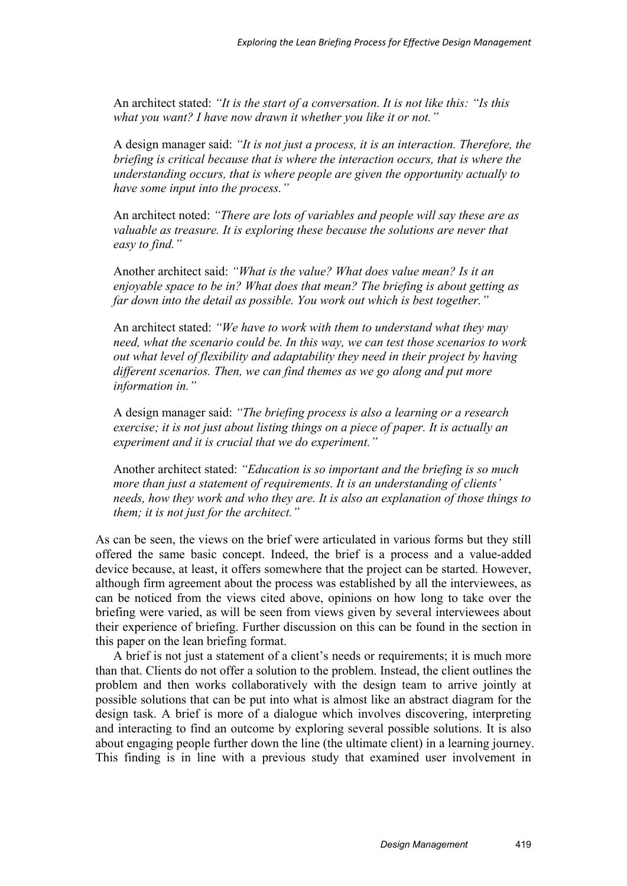An architect stated: *"It is the start of a conversation. It is not like this: "Is this what you want? I have now drawn it whether you like it or not."*

A design manager said: *"It is not just a process, it is an interaction. Therefore, the briefing is critical because that is where the interaction occurs, that is where the understanding occurs, that is where people are given the opportunity actually to have some input into the process."*

An architect noted: *"There are lots of variables and people will say these are as valuable as treasure. It is exploring these because the solutions are never that easy to find."* 

Another architect said: *"What is the value? What does value mean? Is it an enjoyable space to be in? What does that mean? The briefing is about getting as far down into the detail as possible. You work out which is best together."* 

An architect stated: *"We have to work with them to understand what they may need, what the scenario could be. In this way, we can test those scenarios to work out what level of flexibility and adaptability they need in their project by having different scenarios. Then, we can find themes as we go along and put more information in."*

A design manager said: *"The briefing process is also a learning or a research exercise; it is not just about listing things on a piece of paper. It is actually an experiment and it is crucial that we do experiment."* 

Another architect stated: *"Education is so important and the briefing is so much more than just a statement of requirements. It is an understanding of clients' needs, how they work and who they are. It is also an explanation of those things to them; it is not just for the architect."* 

As can be seen, the views on the brief were articulated in various forms but they still offered the same basic concept. Indeed, the brief is a process and a value-added device because, at least, it offers somewhere that the project can be started. However, although firm agreement about the process was established by all the interviewees, as can be noticed from the views cited above, opinions on how long to take over the briefing were varied, as will be seen from views given by several interviewees about their experience of briefing. Further discussion on this can be found in the section in this paper on the lean briefing format.

A brief is not just a statement of a client's needs or requirements; it is much more than that. Clients do not offer a solution to the problem. Instead, the client outlines the problem and then works collaboratively with the design team to arrive jointly at possible solutions that can be put into what is almost like an abstract diagram for the design task. A brief is more of a dialogue which involves discovering, interpreting and interacting to find an outcome by exploring several possible solutions. It is also about engaging people further down the line (the ultimate client) in a learning journey. This finding is in line with a previous study that examined user involvement in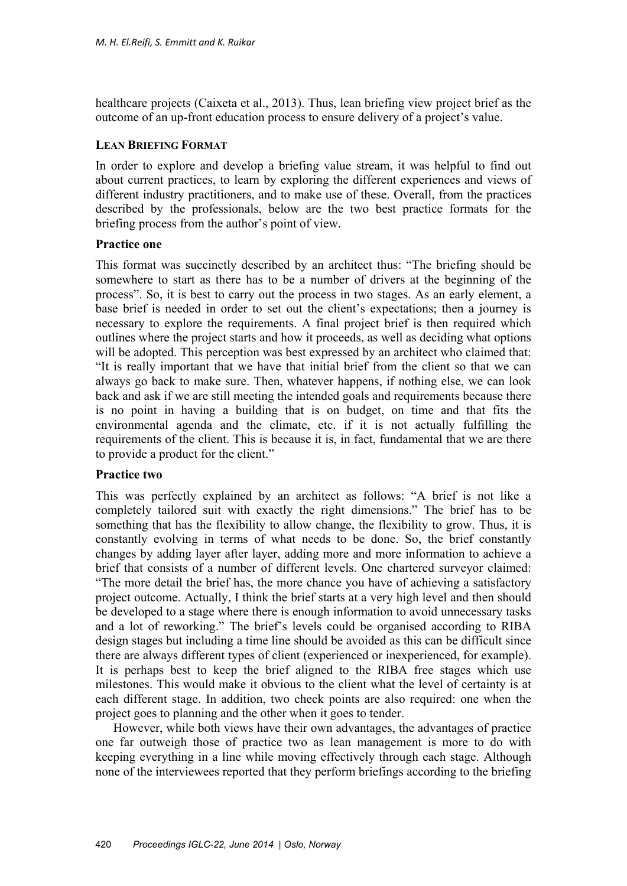healthcare projects (Caixeta et al., 2013). Thus, lean briefing view project brief as the outcome of an up-front education process to ensure delivery of a project's value.

## **LEAN BRIEFING FORMAT**

In order to explore and develop a briefing value stream, it was helpful to find out about current practices, to learn by exploring the different experiences and views of different industry practitioners, and to make use of these. Overall, from the practices described by the professionals, below are the two best practice formats for the briefing process from the author's point of view.

## **Practice one**

This format was succinctly described by an architect thus: "The briefing should be somewhere to start as there has to be a number of drivers at the beginning of the process". So, it is best to carry out the process in two stages. As an early element, a base brief is needed in order to set out the client's expectations; then a journey is necessary to explore the requirements. A final project brief is then required which outlines where the project starts and how it proceeds, as well as deciding what options will be adopted. This perception was best expressed by an architect who claimed that: "It is really important that we have that initial brief from the client so that we can always go back to make sure. Then, whatever happens, if nothing else, we can look back and ask if we are still meeting the intended goals and requirements because there is no point in having a building that is on budget, on time and that fits the environmental agenda and the climate, etc. if it is not actually fulfilling the requirements of the client. This is because it is, in fact, fundamental that we are there to provide a product for the client."

# **Practice two**

This was perfectly explained by an architect as follows: "A brief is not like a completely tailored suit with exactly the right dimensions." The brief has to be something that has the flexibility to allow change, the flexibility to grow. Thus, it is constantly evolving in terms of what needs to be done. So, the brief constantly changes by adding layer after layer, adding more and more information to achieve a brief that consists of a number of different levels. One chartered surveyor claimed: "The more detail the brief has, the more chance you have of achieving a satisfactory project outcome. Actually, I think the brief starts at a very high level and then should be developed to a stage where there is enough information to avoid unnecessary tasks and a lot of reworking." The brief's levels could be organised according to RIBA design stages but including a time line should be avoided as this can be difficult since there are always different types of client (experienced or inexperienced, for example). It is perhaps best to keep the brief aligned to the RIBA free stages which use milestones. This would make it obvious to the client what the level of certainty is at each different stage. In addition, two check points are also required: one when the project goes to planning and the other when it goes to tender.

However, while both views have their own advantages, the advantages of practice one far outweigh those of practice two as lean management is more to do with keeping everything in a line while moving effectively through each stage. Although none of the interviewees reported that they perform briefings according to the briefing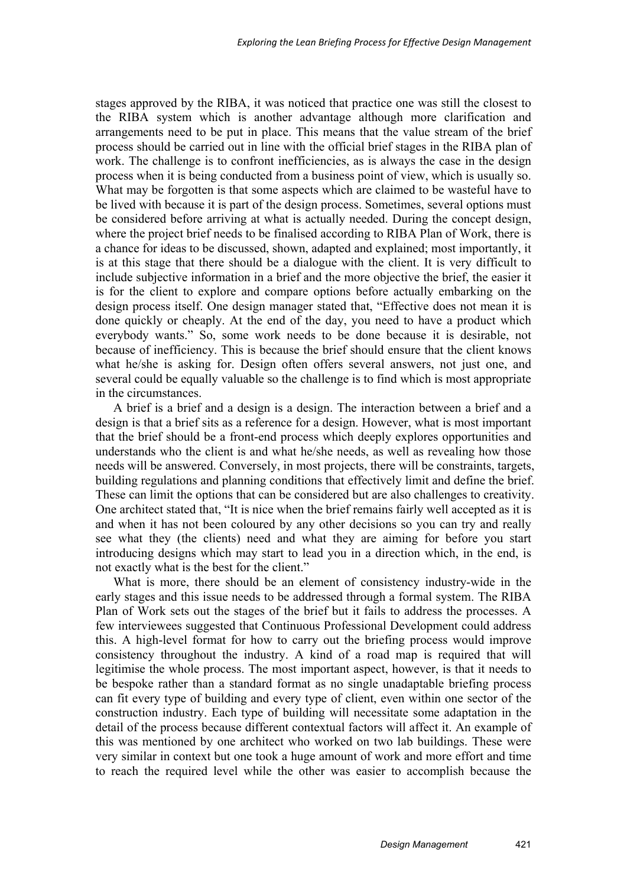stages approved by the RIBA, it was noticed that practice one was still the closest to the RIBA system which is another advantage although more clarification and arrangements need to be put in place. This means that the value stream of the brief process should be carried out in line with the official brief stages in the RIBA plan of work. The challenge is to confront inefficiencies, as is always the case in the design process when it is being conducted from a business point of view, which is usually so. What may be forgotten is that some aspects which are claimed to be wasteful have to be lived with because it is part of the design process. Sometimes, several options must be considered before arriving at what is actually needed. During the concept design, where the project brief needs to be finalised according to RIBA Plan of Work, there is a chance for ideas to be discussed, shown, adapted and explained; most importantly, it is at this stage that there should be a dialogue with the client. It is very difficult to include subjective information in a brief and the more objective the brief, the easier it is for the client to explore and compare options before actually embarking on the design process itself. One design manager stated that, "Effective does not mean it is done quickly or cheaply. At the end of the day, you need to have a product which everybody wants." So, some work needs to be done because it is desirable, not because of inefficiency. This is because the brief should ensure that the client knows what he/she is asking for. Design often offers several answers, not just one, and several could be equally valuable so the challenge is to find which is most appropriate in the circumstances.

A brief is a brief and a design is a design. The interaction between a brief and a design is that a brief sits as a reference for a design. However, what is most important that the brief should be a front-end process which deeply explores opportunities and understands who the client is and what he/she needs, as well as revealing how those needs will be answered. Conversely, in most projects, there will be constraints, targets, building regulations and planning conditions that effectively limit and define the brief. These can limit the options that can be considered but are also challenges to creativity. One architect stated that, "It is nice when the brief remains fairly well accepted as it is and when it has not been coloured by any other decisions so you can try and really see what they (the clients) need and what they are aiming for before you start introducing designs which may start to lead you in a direction which, in the end, is not exactly what is the best for the client."

What is more, there should be an element of consistency industry-wide in the early stages and this issue needs to be addressed through a formal system. The RIBA Plan of Work sets out the stages of the brief but it fails to address the processes. A few interviewees suggested that Continuous Professional Development could address this. A high-level format for how to carry out the briefing process would improve consistency throughout the industry. A kind of a road map is required that will legitimise the whole process. The most important aspect, however, is that it needs to be bespoke rather than a standard format as no single unadaptable briefing process can fit every type of building and every type of client, even within one sector of the construction industry. Each type of building will necessitate some adaptation in the detail of the process because different contextual factors will affect it. An example of this was mentioned by one architect who worked on two lab buildings. These were very similar in context but one took a huge amount of work and more effort and time to reach the required level while the other was easier to accomplish because the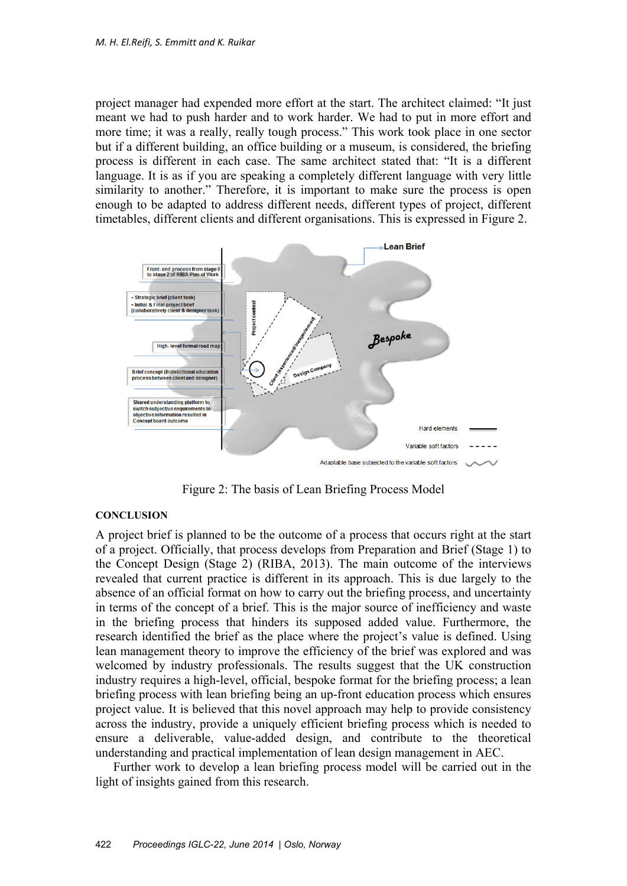project manager had expended more effort at the start. The architect claimed: "It just meant we had to push harder and to work harder. We had to put in more effort and more time; it was a really, really tough process." This work took place in one sector but if a different building, an office building or a museum, is considered, the briefing process is different in each case. The same architect stated that: "It is a different language. It is as if you are speaking a completely different language with very little similarity to another." Therefore, it is important to make sure the process is open enough to be adapted to address different needs, different types of project, different timetables, different clients and different organisations. This is expressed in Figure 2.



Figure 2: The basis of Lean Briefing Process Model

#### **CONCLUSION**

A project brief is planned to be the outcome of a process that occurs right at the start of a project. Officially, that process develops from Preparation and Brief (Stage 1) to the Concept Design (Stage 2) (RIBA, 2013). The main outcome of the interviews revealed that current practice is different in its approach. This is due largely to the absence of an official format on how to carry out the briefing process, and uncertainty in terms of the concept of a brief. This is the major source of inefficiency and waste in the briefing process that hinders its supposed added value. Furthermore, the research identified the brief as the place where the project's value is defined. Using lean management theory to improve the efficiency of the brief was explored and was welcomed by industry professionals. The results suggest that the UK construction industry requires a high-level, official, bespoke format for the briefing process; a lean briefing process with lean briefing being an up-front education process which ensures project value. It is believed that this novel approach may help to provide consistency across the industry, provide a uniquely efficient briefing process which is needed to ensure a deliverable, value-added design, and contribute to the theoretical understanding and practical implementation of lean design management in AEC.

Further work to develop a lean briefing process model will be carried out in the light of insights gained from this research.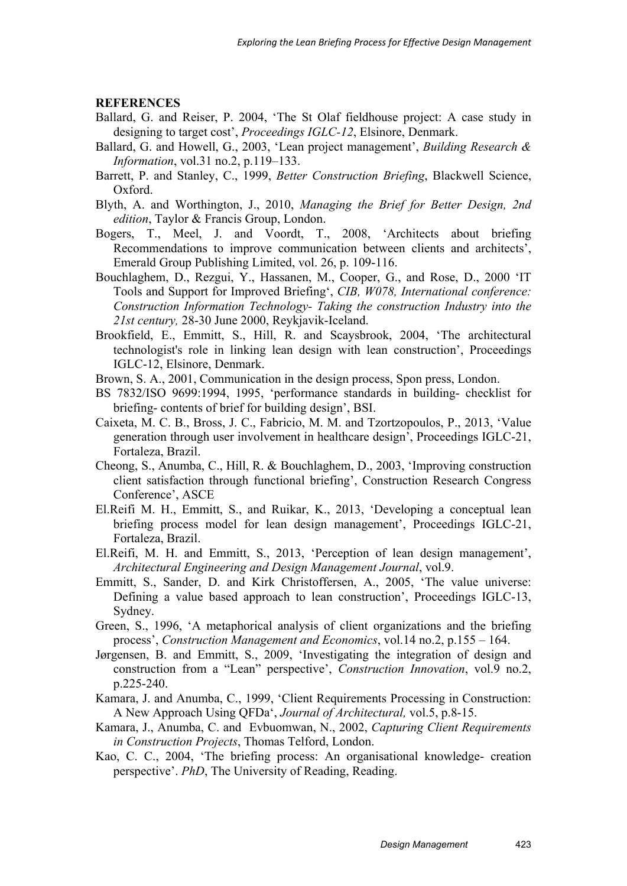#### **REFERENCES**

- Ballard, G. and Reiser, P. 2004, 'The St Olaf fieldhouse project: A case study in designing to target cost', *Proceedings IGLC-12*, Elsinore, Denmark.
- Ballard, G. and Howell, G., 2003, 'Lean project management', *Building Research & Information*, vol.31 no.2, p.119–133.
- Barrett, P. and Stanley, C., 1999, *Better Construction Briefing*, Blackwell Science, Oxford.
- Blyth, A. and Worthington, J., 2010, *Managing the Brief for Better Design, 2nd edition*, Taylor & Francis Group, London.
- Bogers, T., Meel, J. and Voordt, T., 2008, 'Architects about briefing Recommendations to improve communication between clients and architects', Emerald Group Publishing Limited, vol. 26, p. 109-116.
- Bouchlaghem, D., Rezgui, Y., Hassanen, M., Cooper, G., and Rose, D., 2000 'IT Tools and Support for Improved Briefing', *CIB, W078, International conference: Construction Information Technology- Taking the construction Industry into the 21st century,* 28-30 June 2000, Reykjavik-Iceland.
- Brookfield, E., Emmitt, S., Hill, R. and Scaysbrook, 2004, 'The architectural technologist's role in linking lean design with lean construction', Proceedings IGLC-12, Elsinore, Denmark.
- Brown, S. A., 2001, Communication in the design process, Spon press, London.
- BS 7832/ISO 9699:1994, 1995, 'performance standards in building- checklist for briefing- contents of brief for building design', BSI.
- Caixeta, M. C. B., Bross, J. C., Fabricio, M. M. and Tzortzopoulos, P., 2013, 'Value generation through user involvement in healthcare design', Proceedings IGLC-21, Fortaleza, Brazil.
- Cheong, S., Anumba, C., Hill, R. & Bouchlaghem, D., 2003, 'Improving construction client satisfaction through functional briefing', Construction Research Congress Conference', ASCE
- El.Reifi M. H., Emmitt, S., and Ruikar, K., 2013, 'Developing a conceptual lean briefing process model for lean design management', Proceedings IGLC-21, Fortaleza, Brazil.
- El.Reifi, M. H. and Emmitt, S., 2013, 'Perception of lean design management', *Architectural Engineering and Design Management Journal*, vol.9.
- Emmitt, S., Sander, D. and Kirk Christoffersen, A., 2005, 'The value universe: Defining a value based approach to lean construction', Proceedings IGLC-13, Sydney.
- Green, S., 1996, 'A metaphorical analysis of client organizations and the briefing process', *Construction Management and Economics*, vol.14 no.2, p.155 – 164.
- Jørgensen, B. and Emmitt, S., 2009, 'Investigating the integration of design and construction from a "Lean" perspective', *Construction Innovation*, vol.9 no.2, p.225-240.
- Kamara, J. and Anumba, C., 1999, 'Client Requirements Processing in Construction: A New Approach Using QFDa', *Journal of Architectural,* vol.5, p.8-15.
- Kamara, J., Anumba, C. and Evbuomwan, N., 2002, *Capturing Client Requirements in Construction Projects*, Thomas Telford, London.
- Kao, C. C., 2004, 'The briefing process: An organisational knowledge- creation perspective'. *PhD*, The University of Reading, Reading.